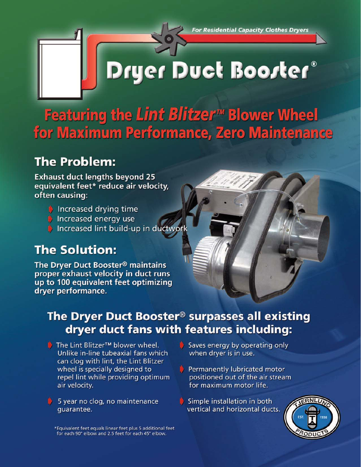**For Residential Capacity Clothes Dryers** 

# Dryer Duct Boorter®

Featuring the Lint Blitzer<sup>™</sup> Blower Wheel for Maximum Performance, Zero Maintenance

## **The Problem:**

**Exhaust duct lengths beyond 25** equivalent feet\* reduce air velocity, often causing:

> Increased drying time Increased energy use Increased lint build-up in ductwork

## **The Solution:**

The Dryer Duct Booster<sup>®</sup> maintains proper exhaust velocity in duct runs up to 100 equivalent feet optimizing drver performance.

## The Dryer Duct Booster<sup>®</sup> surpasses all existing dryer duct fans with features including:

- **★** The Lint Blitzer<sup>™</sup> blower wheel. Unlike in-line tubeaxial fans which can clog with lint, the Lint Blitzer wheel is specially designed to repel lint while providing optimum air velocity.
- $\bullet$  5 year no cloq, no maintenance quarantee.

Saves energy by operating only when dryer is in use.

- Permanently lubricated motor positioned out of the air stream for maximum motor life.
- Simple installation in both vertical and horizontal ducts.



\*Equivalent feet equals linear feet plus 5 additional feet for each 90° elbow and 2.5 feet for each 45° elbow.